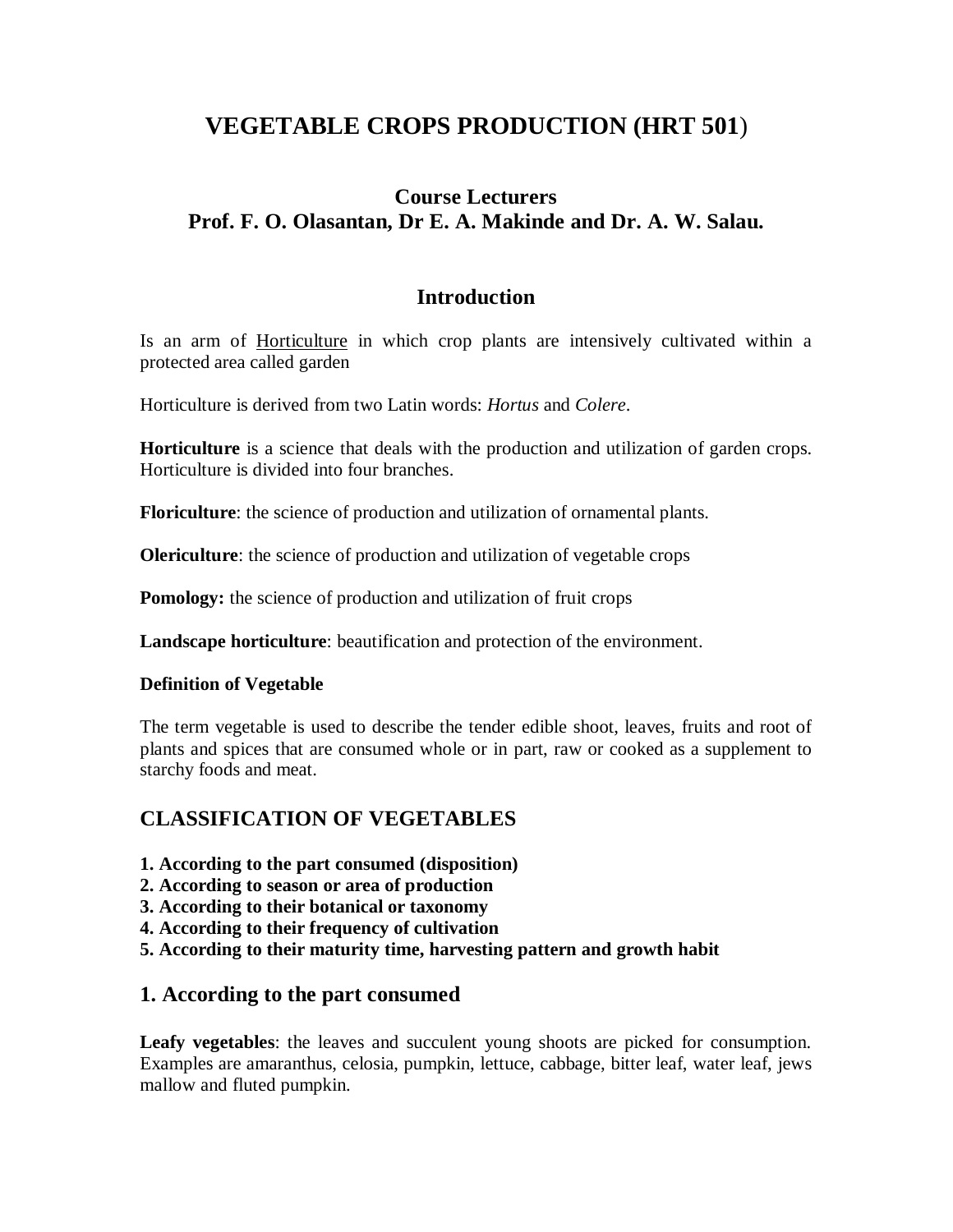# **VEGETABLE CROPS PRODUCTION (HRT 501**)

## **Course Lecturers Prof. F. O. Olasantan, Dr E. A. Makinde and Dr. A. W. Salau.**

## **Introduction**

Is an arm of Horticulture in which crop plants are intensively cultivated within a protected area called garden

Horticulture is derived from two Latin words: *Hortus* and *Colere*.

**Horticulture** is a science that deals with the production and utilization of garden crops. Horticulture is divided into four branches.

**Floriculture**: the science of production and utilization of ornamental plants.

**Olericulture**: the science of production and utilization of vegetable crops

**Pomology:** the science of production and utilization of fruit crops

**Landscape horticulture**: beautification and protection of the environment.

#### **Definition of Vegetable**

The term vegetable is used to describe the tender edible shoot, leaves, fruits and root of plants and spices that are consumed whole or in part, raw or cooked as a supplement to starchy foods and meat.

## **CLASSIFICATION OF VEGETABLES**

- **1. According to the part consumed (disposition)**
- **2. According to season or area of production**
- **3. According to their botanical or taxonomy**
- **4. According to their frequency of cultivation**
- **5. According to their maturity time, harvesting pattern and growth habit**

### **1. According to the part consumed**

**Leafy vegetables**: the leaves and succulent young shoots are picked for consumption. Examples are amaranthus, celosia, pumpkin, lettuce, cabbage, bitter leaf, water leaf, jews mallow and fluted pumpkin.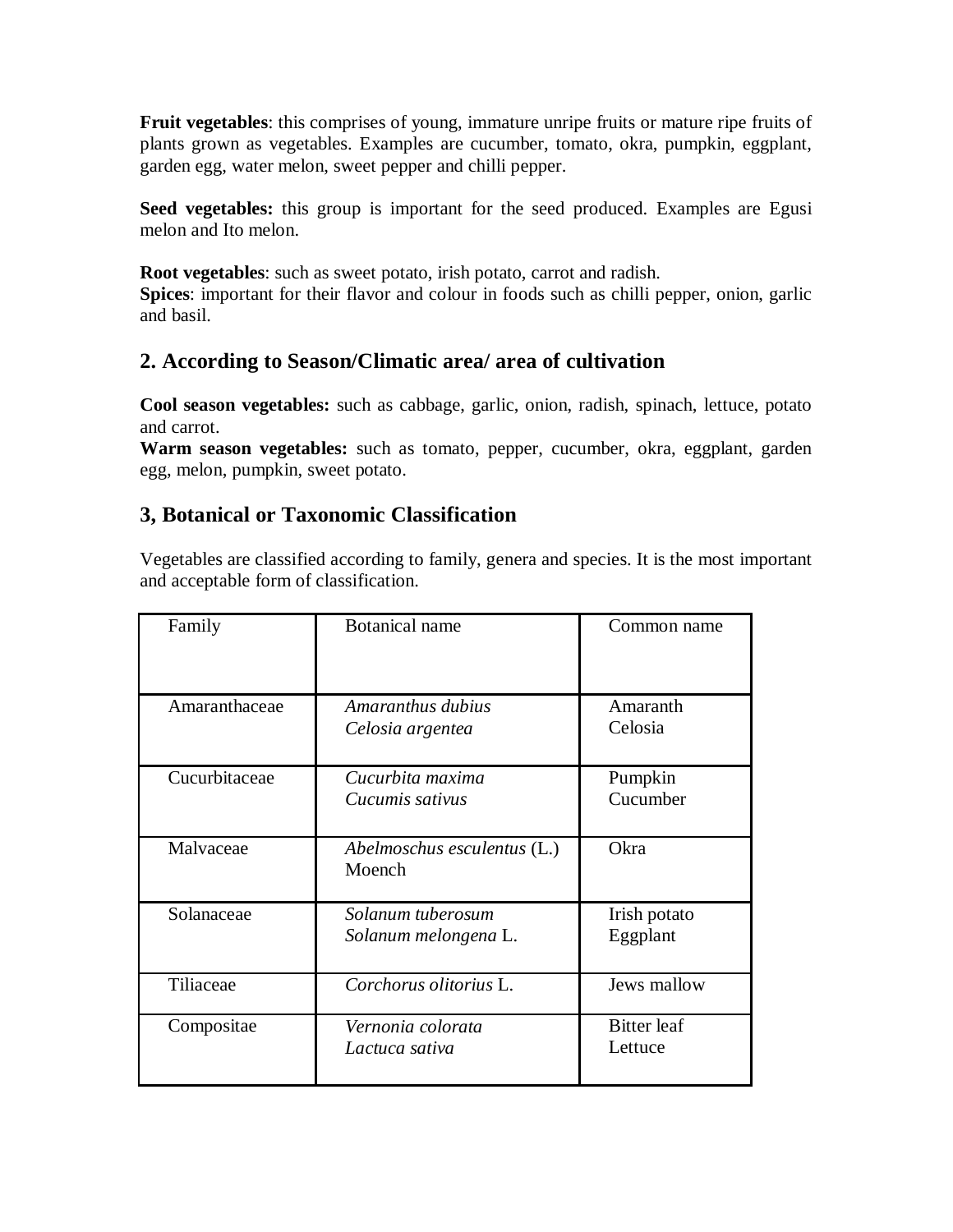**Fruit vegetables**: this comprises of young, immature unripe fruits or mature ripe fruits of plants grown as vegetables. Examples are cucumber, tomato, okra, pumpkin, eggplant, garden egg, water melon, sweet pepper and chilli pepper.

**Seed vegetables:** this group is important for the seed produced. Examples are Egusi melon and Ito melon.

**Root vegetables**: such as sweet potato, irish potato, carrot and radish. **Spices**: important for their flavor and colour in foods such as chilli pepper, onion, garlic and basil.

## **2. According to Season/Climatic area/ area of cultivation**

**Cool season vegetables:** such as cabbage, garlic, onion, radish, spinach, lettuce, potato and carrot.

**Warm season vegetables:** such as tomato, pepper, cucumber, okra, eggplant, garden egg, melon, pumpkin, sweet potato.

## **3, Botanical or Taxonomic Classification**

Vegetables are classified according to family, genera and species. It is the most important and acceptable form of classification.

| Family        | <b>Botanical</b> name                     | Common name              |
|---------------|-------------------------------------------|--------------------------|
| Amaranthaceae | Amaranthus dubius<br>Celosia argentea     | Amaranth<br>Celosia      |
| Cucurbitaceae | Cucurbita maxima<br>Cucumis sativus       | Pumpkin<br>Cucumber      |
| Malvaceae     | Abelmoschus esculentus (L.)<br>Moench     | Okra                     |
| Solanaceae    | Solanum tuberosum<br>Solanum melongena L. | Irish potato<br>Eggplant |
| Tiliaceae     | Corchorus olitorius L.                    | Jews mallow              |
| Compositae    | Vernonia colorata<br>Lactuca sativa       | Bitter leaf<br>Lettuce   |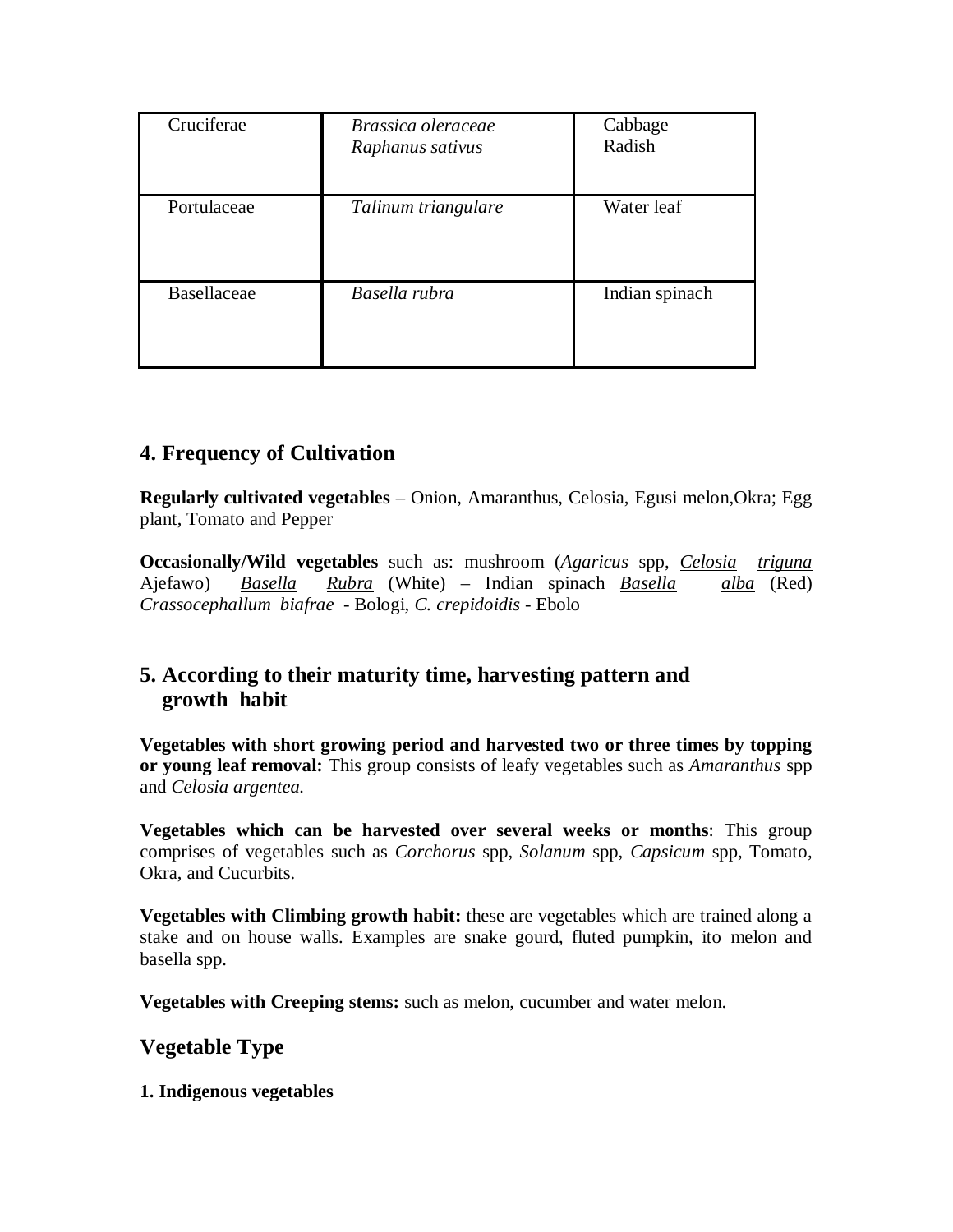| Cruciferae  | Brassica oleraceae<br>Raphanus sativus | Cabbage<br>Radish |
|-------------|----------------------------------------|-------------------|
| Portulaceae | Talinum triangulare                    | Water leaf        |
| Basellaceae | Basella rubra                          | Indian spinach    |

## **4. Frequency of Cultivation**

**Regularly cultivated vegetables** – Onion, Amaranthus, Celosia, Egusi melon,Okra; Egg plant, Tomato and Pepper

**Occasionally/Wild vegetables** such as: mushroom (*Agaricus* spp, *Celosia triguna* Ajefawo) *Basella Rubra* (White) – Indian spinach *Basella alba* (Red) *Crassocephallum biafrae* - Bologi, *C. crepidoidis* - Ebolo

## **5. According to their maturity time, harvesting pattern and growth habit**

**Vegetables with short growing period and harvested two or three times by topping or young leaf removal:** This group consists of leafy vegetables such as *Amaranthus* spp and *Celosia argentea.* 

**Vegetables which can be harvested over several weeks or months**: This group comprises of vegetables such as *Corchorus* spp, *Solanum* spp, *Capsicum* spp, Tomato, Okra, and Cucurbits.

**Vegetables with Climbing growth habit:** these are vegetables which are trained along a stake and on house walls. Examples are snake gourd, fluted pumpkin, ito melon and basella spp.

**Vegetables with Creeping stems:** such as melon, cucumber and water melon.

## **Vegetable Type**

**1. Indigenous vegetables**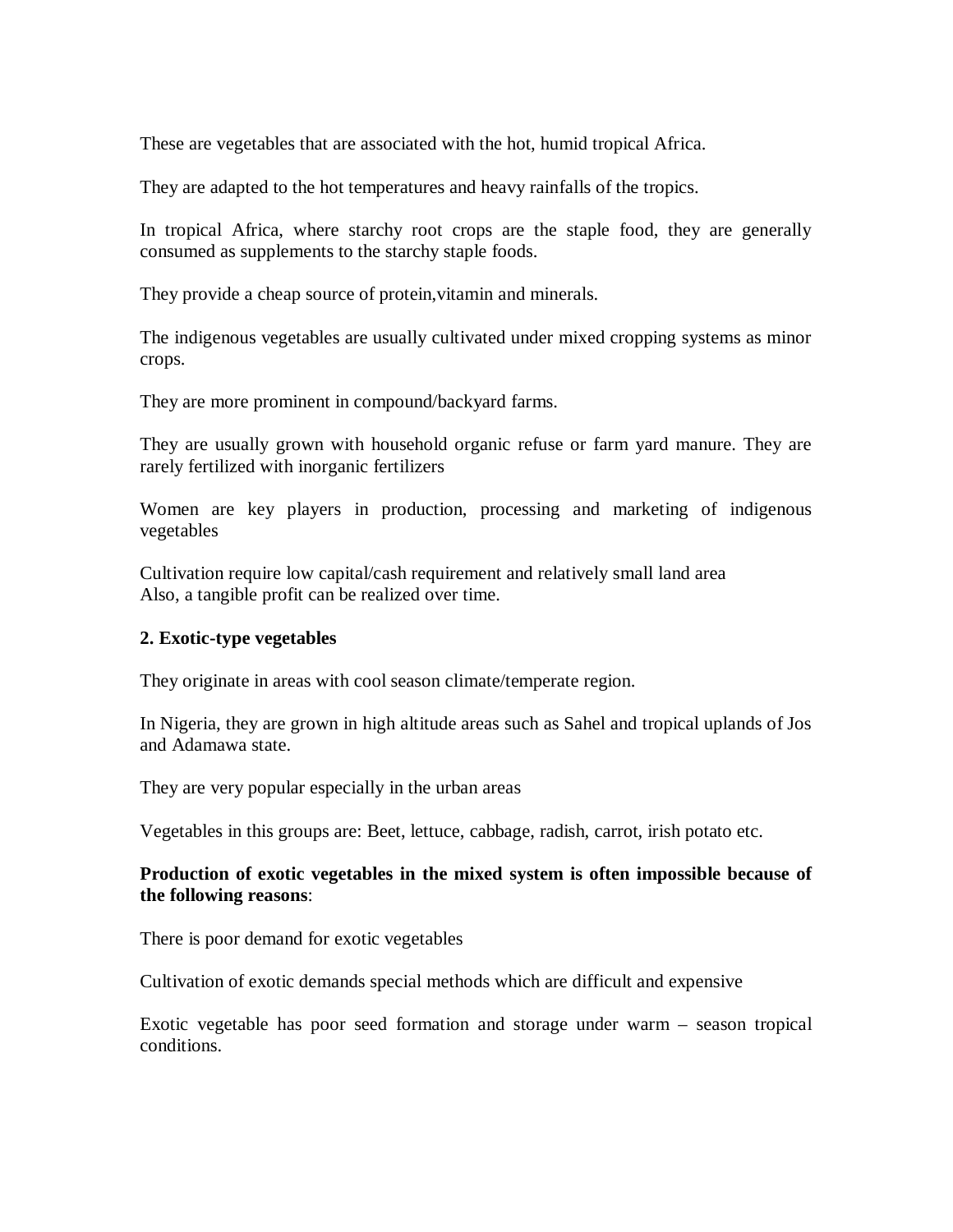These are vegetables that are associated with the hot, humid tropical Africa.

They are adapted to the hot temperatures and heavy rainfalls of the tropics.

In tropical Africa, where starchy root crops are the staple food, they are generally consumed as supplements to the starchy staple foods.

They provide a cheap source of protein, vitamin and minerals.

The indigenous vegetables are usually cultivated under mixed cropping systems as minor crops.

They are more prominent in compound/backyard farms.

They are usually grown with household organic refuse or farm yard manure. They are rarely fertilized with inorganic fertilizers

Women are key players in production, processing and marketing of indigenous vegetables

Cultivation require low capital/cash requirement and relatively small land area Also, a tangible profit can be realized over time.

#### **2. Exotic-type vegetables**

They originate in areas with cool season climate/temperate region.

In Nigeria, they are grown in high altitude areas such as Sahel and tropical uplands of Jos and Adamawa state.

They are very popular especially in the urban areas

Vegetables in this groups are: Beet, lettuce, cabbage, radish, carrot, irish potato etc.

#### **Production of exotic vegetables in the mixed system is often impossible because of the following reasons**:

There is poor demand for exotic vegetables

Cultivation of exotic demands special methods which are difficult and expensive

Exotic vegetable has poor seed formation and storage under warm – season tropical conditions.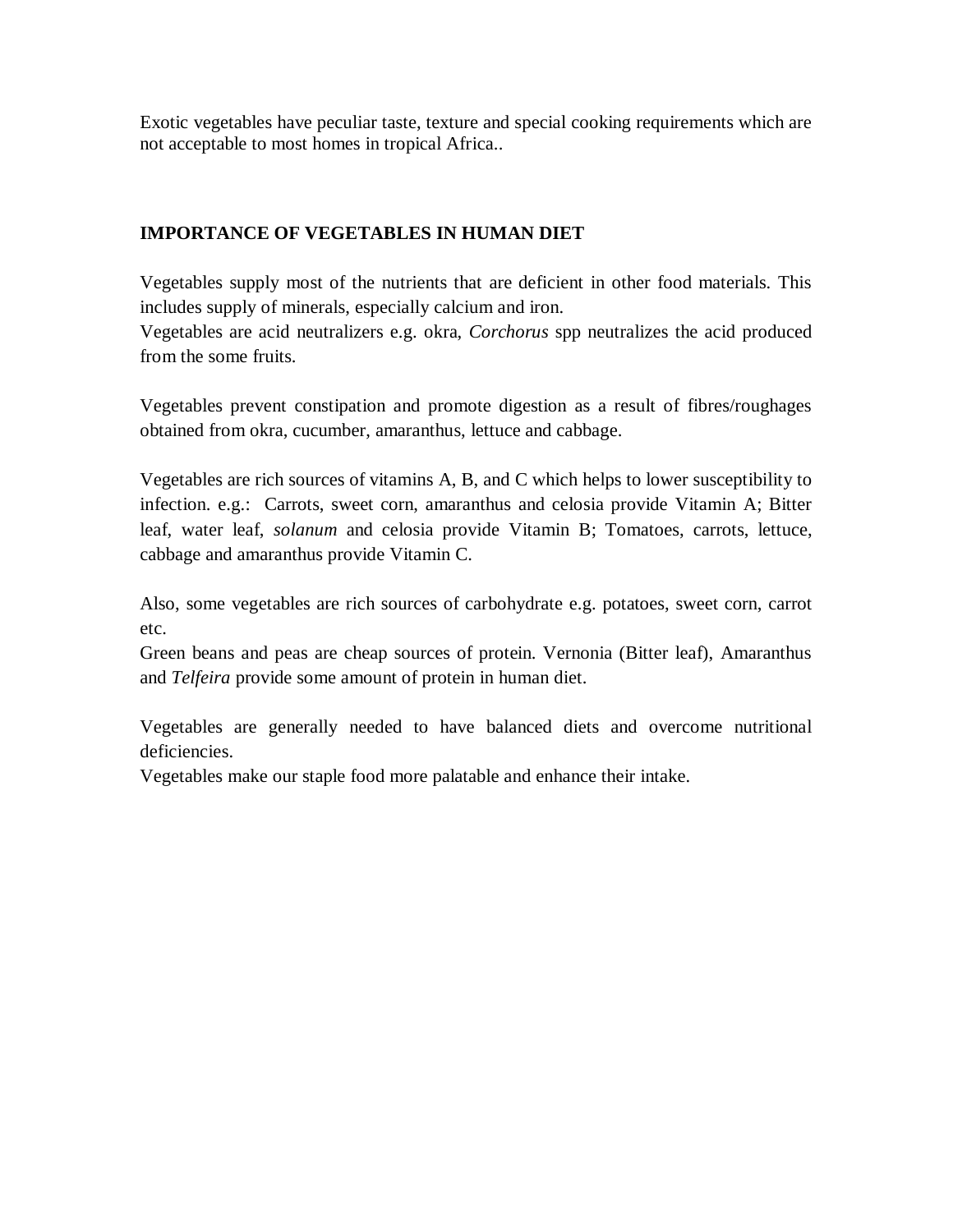Exotic vegetables have peculiar taste, texture and special cooking requirements which are not acceptable to most homes in tropical Africa..

### **IMPORTANCE OF VEGETABLES IN HUMAN DIET**

Vegetables supply most of the nutrients that are deficient in other food materials. This includes supply of minerals, especially calcium and iron.

Vegetables are acid neutralizers e.g. okra, *Corchorus* spp neutralizes the acid produced from the some fruits.

Vegetables prevent constipation and promote digestion as a result of fibres/roughages obtained from okra, cucumber, amaranthus, lettuce and cabbage.

Vegetables are rich sources of vitamins A, B, and C which helps to lower susceptibility to infection. e.g.: Carrots, sweet corn, amaranthus and celosia provide Vitamin A; Bitter leaf, water leaf, *solanum* and celosia provide Vitamin B; Tomatoes, carrots, lettuce, cabbage and amaranthus provide Vitamin C.

Also, some vegetables are rich sources of carbohydrate e.g. potatoes, sweet corn, carrot etc.

Green beans and peas are cheap sources of protein. Vernonia (Bitter leaf), Amaranthus and *Telfeira* provide some amount of protein in human diet.

Vegetables are generally needed to have balanced diets and overcome nutritional deficiencies.

Vegetables make our staple food more palatable and enhance their intake.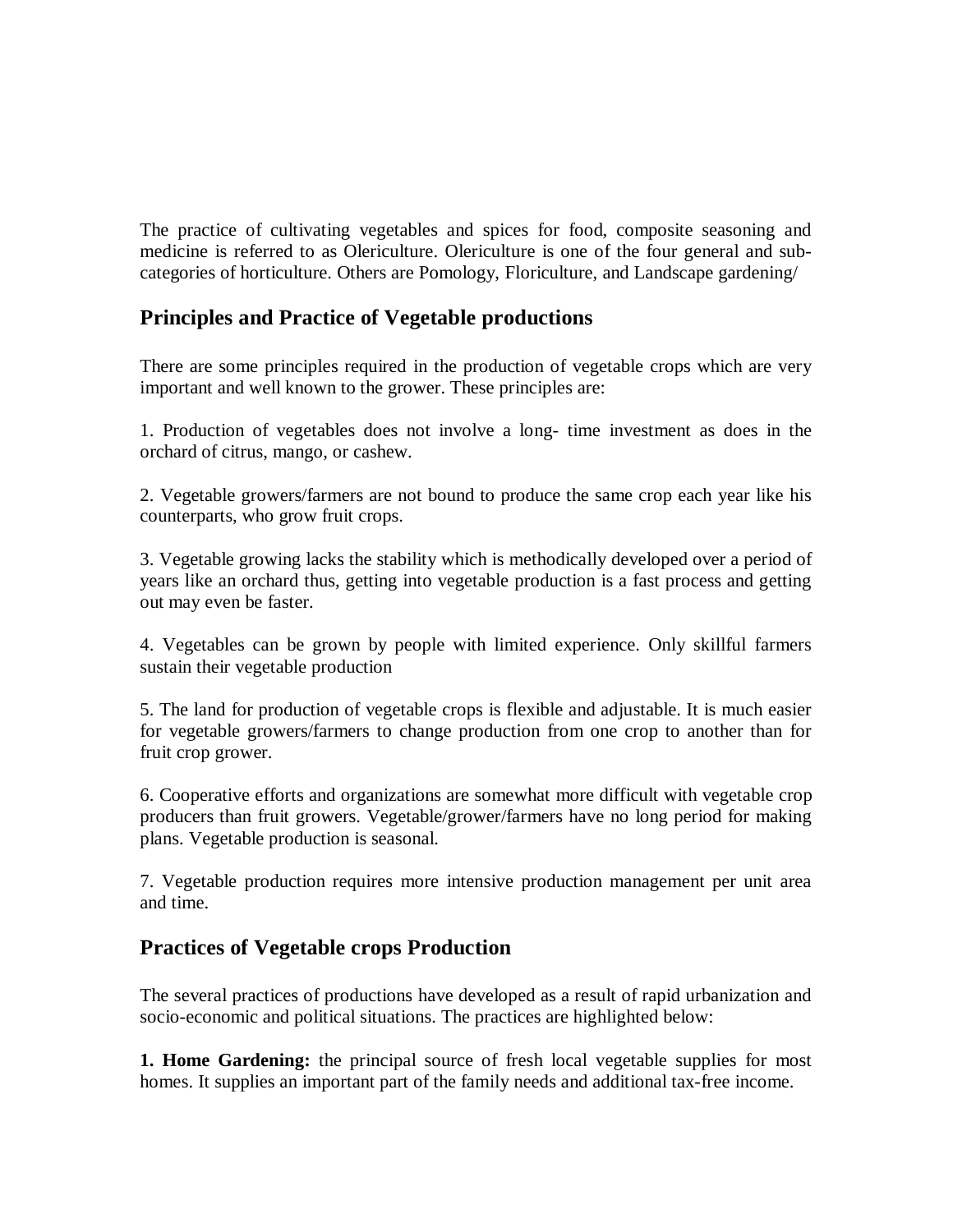The practice of cultivating vegetables and spices for food, composite seasoning and medicine is referred to as Olericulture. Olericulture is one of the four general and subcategories of horticulture. Others are Pomology, Floriculture, and Landscape gardening/

## **Principles and Practice of Vegetable productions**

There are some principles required in the production of vegetable crops which are very important and well known to the grower. These principles are:

1. Production of vegetables does not involve a long- time investment as does in the orchard of citrus, mango, or cashew.

2. Vegetable growers/farmers are not bound to produce the same crop each year like his counterparts, who grow fruit crops.

3. Vegetable growing lacks the stability which is methodically developed over a period of years like an orchard thus, getting into vegetable production is a fast process and getting out may even be faster.

4. Vegetables can be grown by people with limited experience. Only skillful farmers sustain their vegetable production

5. The land for production of vegetable crops is flexible and adjustable. It is much easier for vegetable growers/farmers to change production from one crop to another than for fruit crop grower.

6. Cooperative efforts and organizations are somewhat more difficult with vegetable crop producers than fruit growers. Vegetable/grower/farmers have no long period for making plans. Vegetable production is seasonal.

7. Vegetable production requires more intensive production management per unit area and time.

## **Practices of Vegetable crops Production**

The several practices of productions have developed as a result of rapid urbanization and socio-economic and political situations. The practices are highlighted below:

**1. Home Gardening:** the principal source of fresh local vegetable supplies for most homes. It supplies an important part of the family needs and additional tax-free income.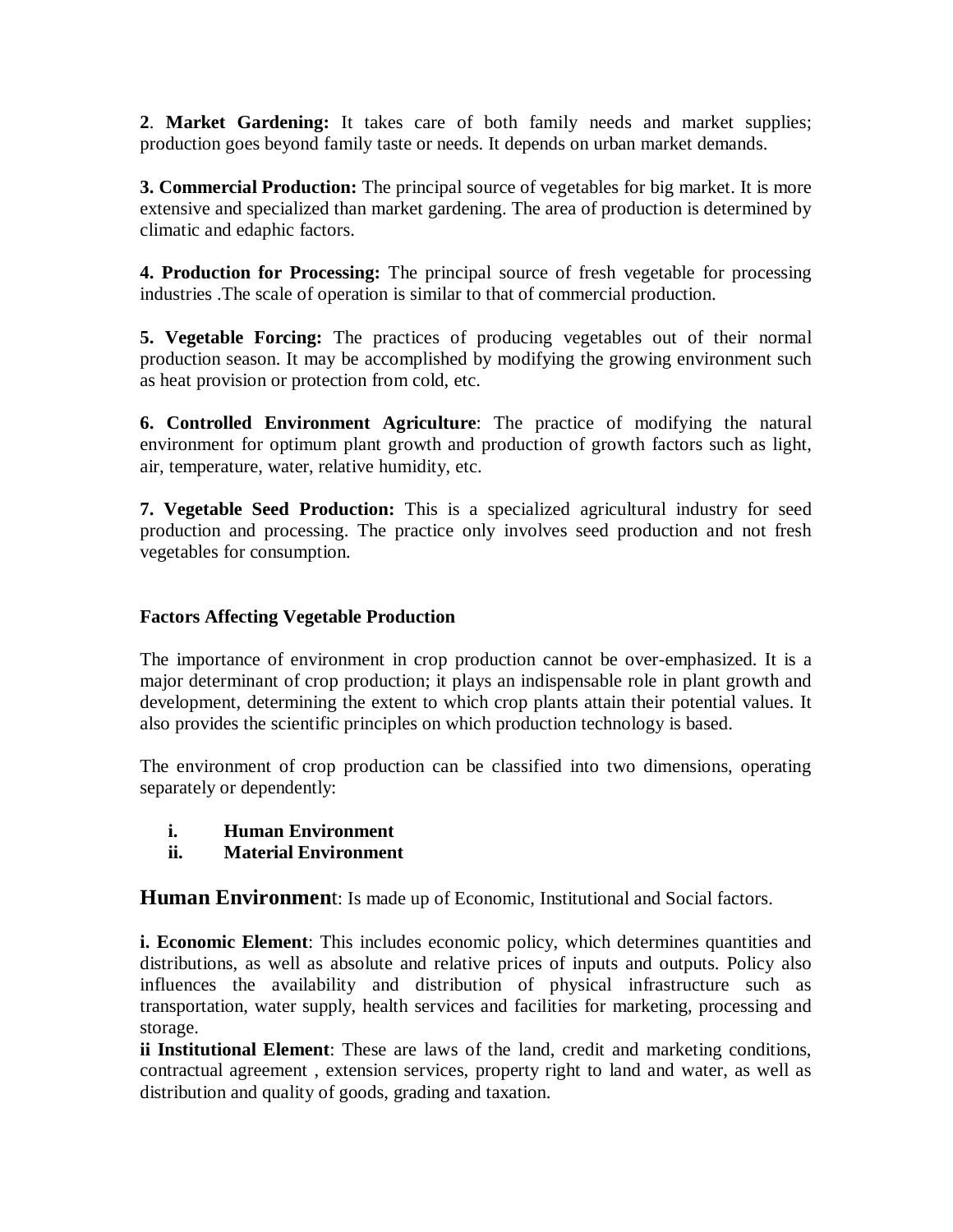**2**. **Market Gardening:** It takes care of both family needs and market supplies; production goes beyond family taste or needs. It depends on urban market demands.

**3. Commercial Production:** The principal source of vegetables for big market. It is more extensive and specialized than market gardening. The area of production is determined by climatic and edaphic factors.

**4. Production for Processing:** The principal source of fresh vegetable for processing industries .The scale of operation is similar to that of commercial production.

**5. Vegetable Forcing:** The practices of producing vegetables out of their normal production season. It may be accomplished by modifying the growing environment such as heat provision or protection from cold, etc.

**6. Controlled Environment Agriculture**: The practice of modifying the natural environment for optimum plant growth and production of growth factors such as light, air, temperature, water, relative humidity, etc.

**7. Vegetable Seed Production:** This is a specialized agricultural industry for seed production and processing. The practice only involves seed production and not fresh vegetables for consumption.

### **Factors Affecting Vegetable Production**

The importance of environment in crop production cannot be over-emphasized. It is a major determinant of crop production; it plays an indispensable role in plant growth and development, determining the extent to which crop plants attain their potential values. It also provides the scientific principles on which production technology is based.

The environment of crop production can be classified into two dimensions, operating separately or dependently:

- **i. Human Environment**
- **ii. Material Environment**

**Human Environment:** Is made up of Economic, Institutional and Social factors.

**i. Economic Element**: This includes economic policy, which determines quantities and distributions, as well as absolute and relative prices of inputs and outputs. Policy also influences the availability and distribution of physical infrastructure such as transportation, water supply, health services and facilities for marketing, processing and storage.

**ii Institutional Element**: These are laws of the land, credit and marketing conditions, contractual agreement , extension services, property right to land and water, as well as distribution and quality of goods, grading and taxation.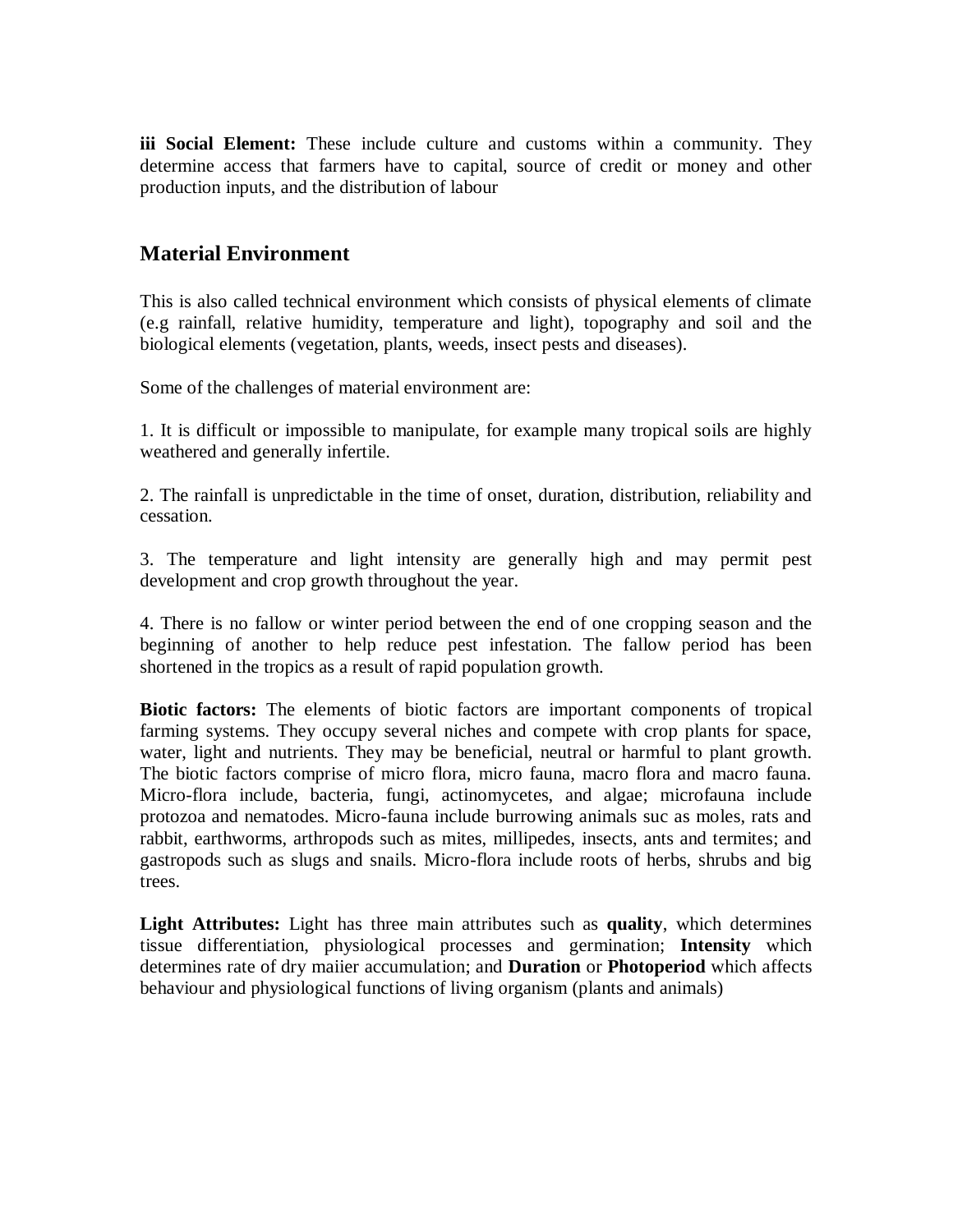**iii Social Element:** These include culture and customs within a community. They determine access that farmers have to capital, source of credit or money and other production inputs, and the distribution of labour

## **Material Environment**

This is also called technical environment which consists of physical elements of climate (e.g rainfall, relative humidity, temperature and light), topography and soil and the biological elements (vegetation, plants, weeds, insect pests and diseases).

Some of the challenges of material environment are:

1. It is difficult or impossible to manipulate, for example many tropical soils are highly weathered and generally infertile.

2. The rainfall is unpredictable in the time of onset, duration, distribution, reliability and cessation.

3. The temperature and light intensity are generally high and may permit pest development and crop growth throughout the year.

4. There is no fallow or winter period between the end of one cropping season and the beginning of another to help reduce pest infestation. The fallow period has been shortened in the tropics as a result of rapid population growth.

**Biotic factors:** The elements of biotic factors are important components of tropical farming systems. They occupy several niches and compete with crop plants for space, water, light and nutrients. They may be beneficial, neutral or harmful to plant growth. The biotic factors comprise of micro flora, micro fauna, macro flora and macro fauna. Micro-flora include, bacteria, fungi, actinomycetes, and algae; microfauna include protozoa and nematodes. Micro-fauna include burrowing animals suc as moles, rats and rabbit, earthworms, arthropods such as mites, millipedes, insects, ants and termites; and gastropods such as slugs and snails. Micro-flora include roots of herbs, shrubs and big trees.

**Light Attributes:** Light has three main attributes such as **quality**, which determines tissue differentiation, physiological processes and germination; **Intensity** which determines rate of dry maiier accumulation; and **Duration** or **Photoperiod** which affects behaviour and physiological functions of living organism (plants and animals)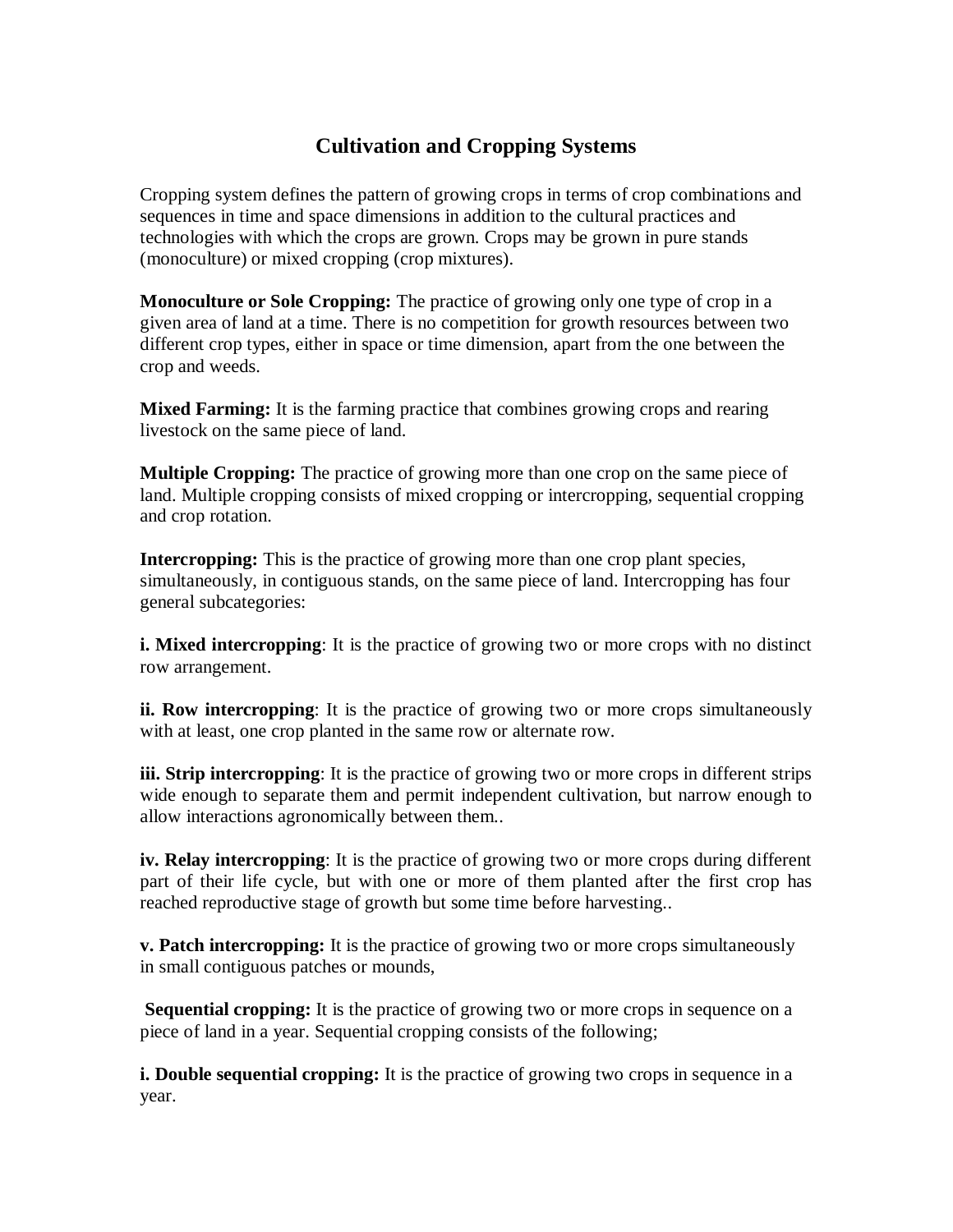## **Cultivation and Cropping Systems**

Cropping system defines the pattern of growing crops in terms of crop combinations and sequences in time and space dimensions in addition to the cultural practices and technologies with which the crops are grown. Crops may be grown in pure stands (monoculture) or mixed cropping (crop mixtures).

**Monoculture or Sole Cropping:** The practice of growing only one type of crop in a given area of land at a time. There is no competition for growth resources between two different crop types, either in space or time dimension, apart from the one between the crop and weeds.

**Mixed Farming:** It is the farming practice that combines growing crops and rearing livestock on the same piece of land.

**Multiple Cropping:** The practice of growing more than one crop on the same piece of land. Multiple cropping consists of mixed cropping or intercropping, sequential cropping and crop rotation.

**Intercropping:** This is the practice of growing more than one crop plant species, simultaneously, in contiguous stands, on the same piece of land. Intercropping has four general subcategories:

**i. Mixed intercropping**: It is the practice of growing two or more crops with no distinct row arrangement.

**ii. Row intercropping**: It is the practice of growing two or more crops simultaneously with at least, one crop planted in the same row or alternate row.

**iii. Strip intercropping**: It is the practice of growing two or more crops in different strips wide enough to separate them and permit independent cultivation, but narrow enough to allow interactions agronomically between them..

**iv. Relay intercropping**: It is the practice of growing two or more crops during different part of their life cycle, but with one or more of them planted after the first crop has reached reproductive stage of growth but some time before harvesting..

**v. Patch intercropping:** It is the practice of growing two or more crops simultaneously in small contiguous patches or mounds,

**Sequential cropping:** It is the practice of growing two or more crops in sequence on a piece of land in a year. Sequential cropping consists of the following;

**i. Double sequential cropping:** It is the practice of growing two crops in sequence in a year.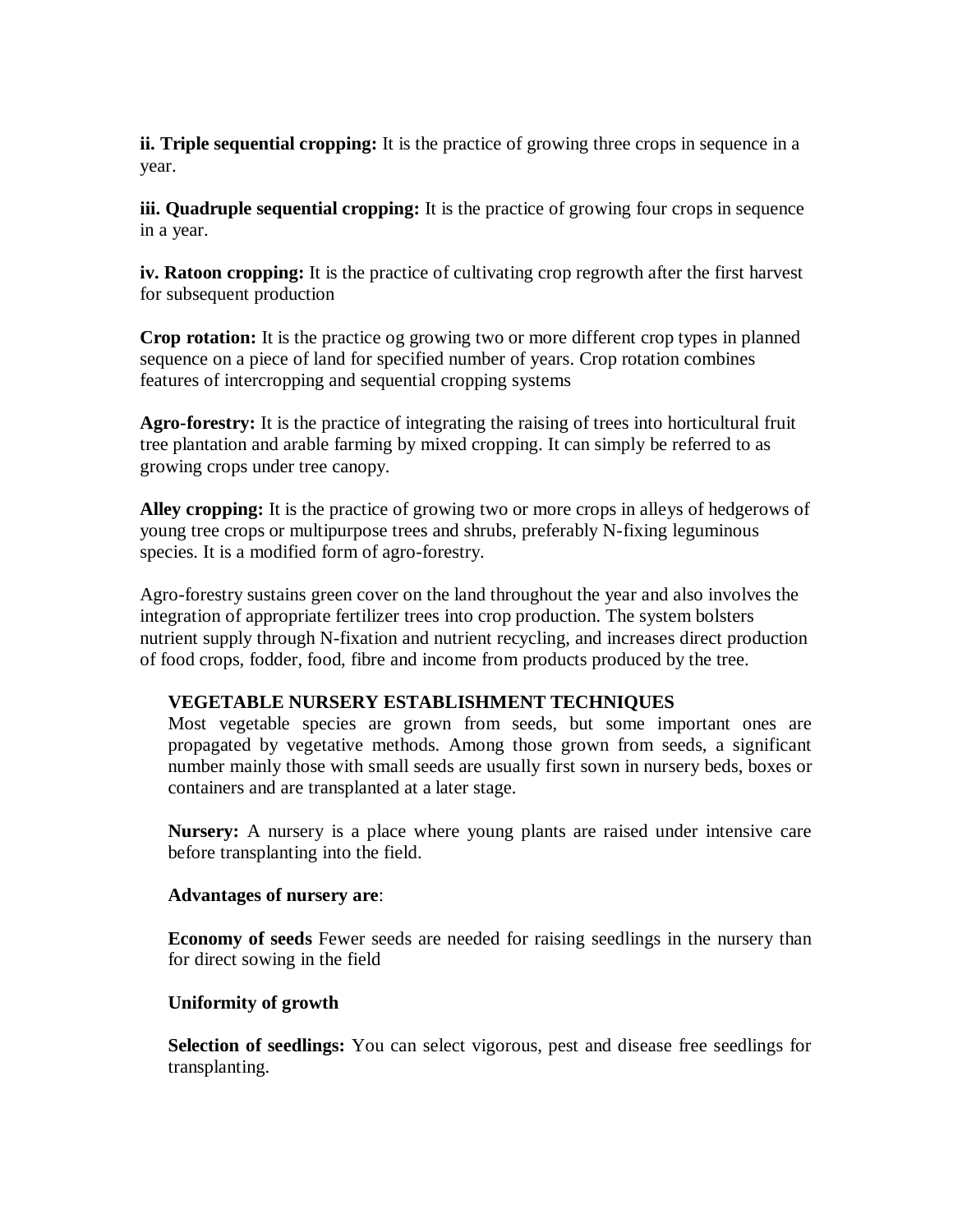**ii. Triple sequential cropping:** It is the practice of growing three crops in sequence in a year.

**iii. Quadruple sequential cropping:** It is the practice of growing four crops in sequence in a year.

**iv. Ratoon cropping:** It is the practice of cultivating crop regrowth after the first harvest for subsequent production

**Crop rotation:** It is the practice og growing two or more different crop types in planned sequence on a piece of land for specified number of years. Crop rotation combines features of intercropping and sequential cropping systems

**Agro-forestry:** It is the practice of integrating the raising of trees into horticultural fruit tree plantation and arable farming by mixed cropping. It can simply be referred to as growing crops under tree canopy.

**Alley cropping:** It is the practice of growing two or more crops in alleys of hedgerows of young tree crops or multipurpose trees and shrubs, preferably N-fixing leguminous species. It is a modified form of agro-forestry.

Agro-forestry sustains green cover on the land throughout the year and also involves the integration of appropriate fertilizer trees into crop production. The system bolsters nutrient supply through N-fixation and nutrient recycling, and increases direct production of food crops, fodder, food, fibre and income from products produced by the tree.

### **VEGETABLE NURSERY ESTABLISHMENT TECHNIQUES**

Most vegetable species are grown from seeds, but some important ones are propagated by vegetative methods. Among those grown from seeds, a significant number mainly those with small seeds are usually first sown in nursery beds, boxes or containers and are transplanted at a later stage.

**Nursery:** A nursery is a place where young plants are raised under intensive care before transplanting into the field.

#### **Advantages of nursery are**:

**Economy of seeds** Fewer seeds are needed for raising seedlings in the nursery than for direct sowing in the field

#### **Uniformity of growth**

**Selection of seedlings:** You can select vigorous, pest and disease free seedlings for transplanting.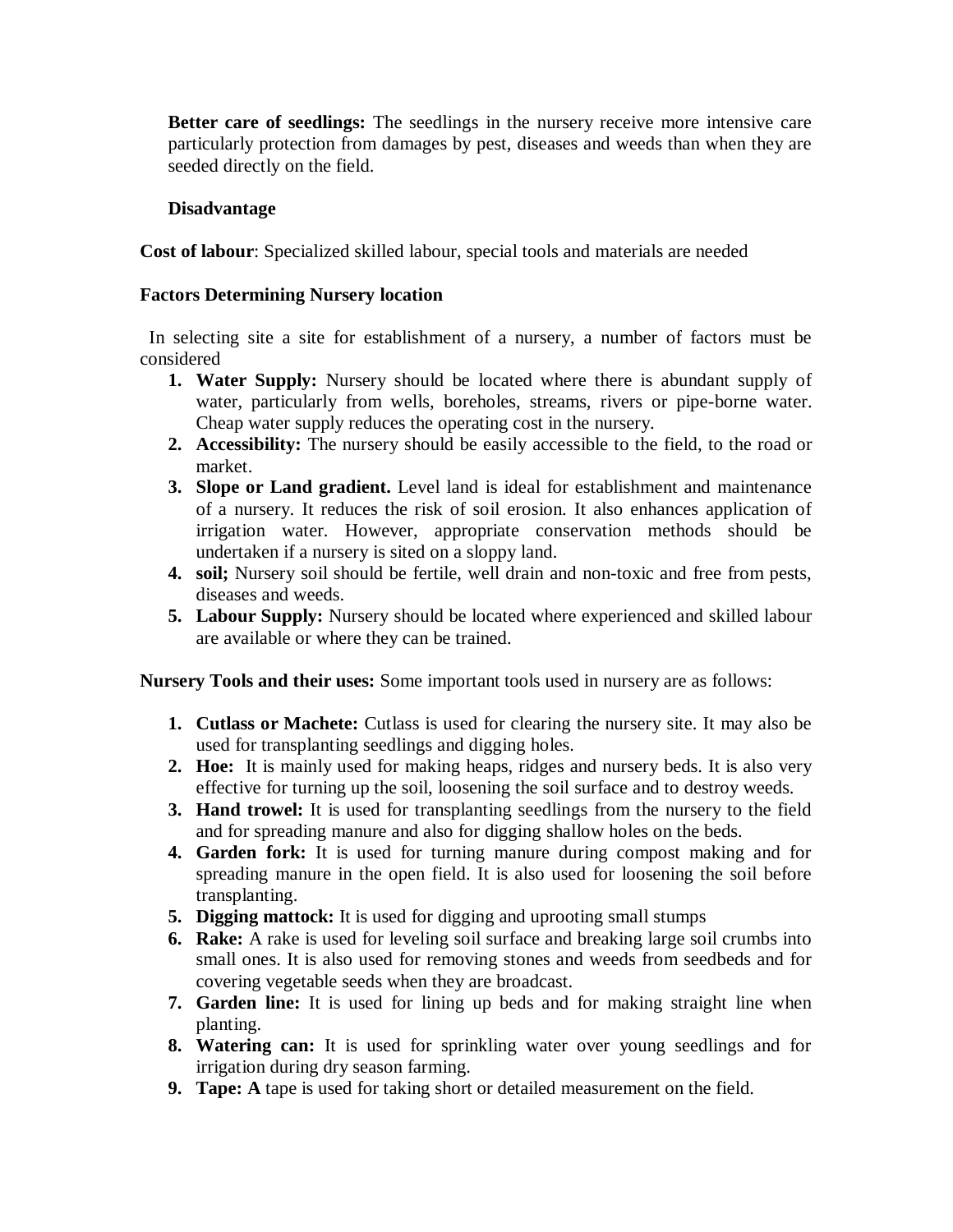**Better care of seedlings:** The seedlings in the nursery receive more intensive care particularly protection from damages by pest, diseases and weeds than when they are seeded directly on the field.

### **Disadvantage**

**Cost of labour**: Specialized skilled labour, special tools and materials are needed

#### **Factors Determining Nursery location**

 In selecting site a site for establishment of a nursery, a number of factors must be considered

- **1. Water Supply:** Nursery should be located where there is abundant supply of water, particularly from wells, boreholes, streams, rivers or pipe-borne water. Cheap water supply reduces the operating cost in the nursery.
- **2. Accessibility:** The nursery should be easily accessible to the field, to the road or market.
- **3. Slope or Land gradient.** Level land is ideal for establishment and maintenance of a nursery. It reduces the risk of soil erosion. It also enhances application of irrigation water. However, appropriate conservation methods should be undertaken if a nursery is sited on a sloppy land.
- **4. soil;** Nursery soil should be fertile, well drain and non-toxic and free from pests, diseases and weeds.
- **5. Labour Supply:** Nursery should be located where experienced and skilled labour are available or where they can be trained.

**Nursery Tools and their uses:** Some important tools used in nursery are as follows:

- **1. Cutlass or Machete:** Cutlass is used for clearing the nursery site. It may also be used for transplanting seedlings and digging holes.
- **2. Hoe:** It is mainly used for making heaps, ridges and nursery beds. It is also very effective for turning up the soil, loosening the soil surface and to destroy weeds.
- **3. Hand trowel:** It is used for transplanting seedlings from the nursery to the field and for spreading manure and also for digging shallow holes on the beds.
- **4. Garden fork:** It is used for turning manure during compost making and for spreading manure in the open field. It is also used for loosening the soil before transplanting.
- **5. Digging mattock:** It is used for digging and uprooting small stumps
- **6. Rake:** A rake is used for leveling soil surface and breaking large soil crumbs into small ones. It is also used for removing stones and weeds from seedbeds and for covering vegetable seeds when they are broadcast.
- **7. Garden line:** It is used for lining up beds and for making straight line when planting.
- **8. Watering can:** It is used for sprinkling water over young seedlings and for irrigation during dry season farming.
- **9. Tape: A** tape is used for taking short or detailed measurement on the field.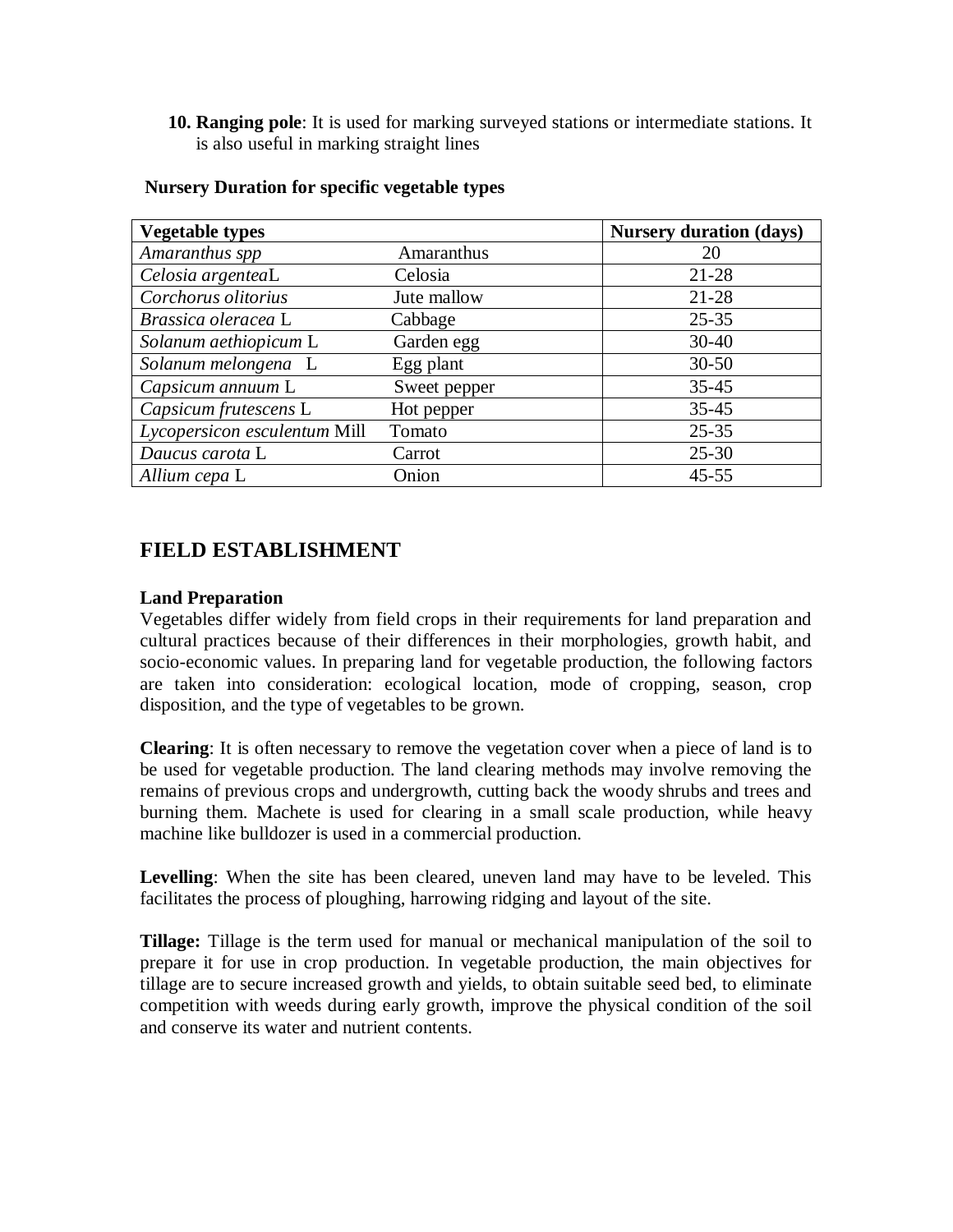**10. Ranging pole**: It is used for marking surveyed stations or intermediate stations. It is also useful in marking straight lines

| <b>Vegetable types</b>       |              | <b>Nursery duration (days)</b> |
|------------------------------|--------------|--------------------------------|
| Amaranthus spp               | Amaranthus   | 20                             |
| Celosia argenteaL            | Celosia      | $21 - 28$                      |
| Corchorus olitorius          | Jute mallow  | $21 - 28$                      |
| Brassica oleracea L          | Cabbage      | $25 - 35$                      |
| Solanum aethiopicum L        | Garden egg   | $30 - 40$                      |
| Solanum melongena L          | Egg plant    | $30 - 50$                      |
| Capsicum annuum L            | Sweet pepper | $35 - 45$                      |
| Capsicum frutescens L        | Hot pepper   | $35 - 45$                      |
| Lycopersicon esculentum Mill | Tomato       | $25 - 35$                      |
| Daucus carota L              | Carrot       | $25 - 30$                      |
| Allium cepa L                | Onion        | $45 - 55$                      |

#### **Nursery Duration for specific vegetable types**

## **FIELD ESTABLISHMENT**

#### **Land Preparation**

Vegetables differ widely from field crops in their requirements for land preparation and cultural practices because of their differences in their morphologies, growth habit, and socio-economic values. In preparing land for vegetable production, the following factors are taken into consideration: ecological location, mode of cropping, season, crop disposition, and the type of vegetables to be grown.

**Clearing**: It is often necessary to remove the vegetation cover when a piece of land is to be used for vegetable production. The land clearing methods may involve removing the remains of previous crops and undergrowth, cutting back the woody shrubs and trees and burning them. Machete is used for clearing in a small scale production, while heavy machine like bulldozer is used in a commercial production.

**Levelling**: When the site has been cleared, uneven land may have to be leveled. This facilitates the process of ploughing, harrowing ridging and layout of the site.

**Tillage:** Tillage is the term used for manual or mechanical manipulation of the soil to prepare it for use in crop production. In vegetable production, the main objectives for tillage are to secure increased growth and yields, to obtain suitable seed bed, to eliminate competition with weeds during early growth, improve the physical condition of the soil and conserve its water and nutrient contents.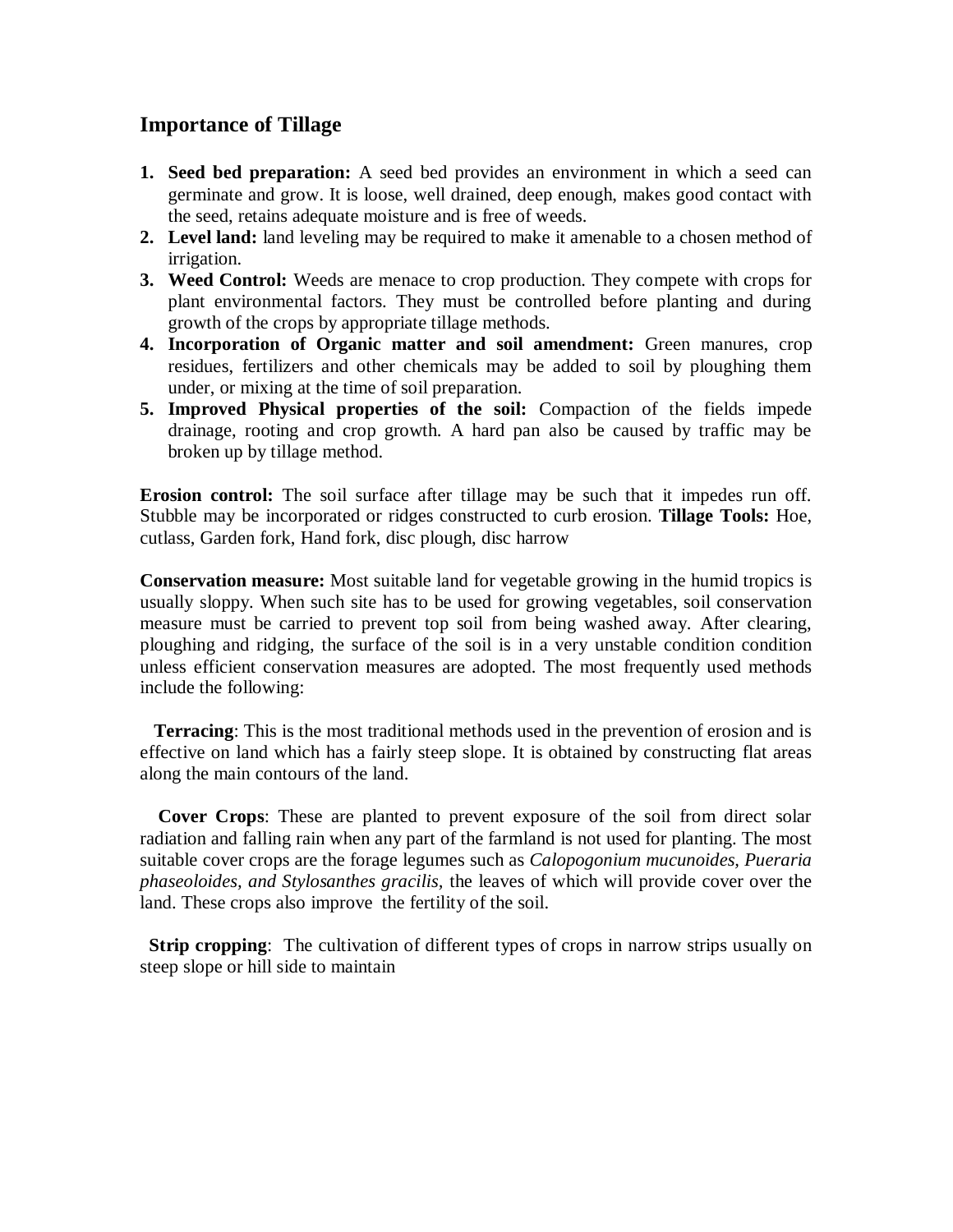## **Importance of Tillage**

- **1. Seed bed preparation:** A seed bed provides an environment in which a seed can germinate and grow. It is loose, well drained, deep enough, makes good contact with the seed, retains adequate moisture and is free of weeds.
- **2. Level land:** land leveling may be required to make it amenable to a chosen method of irrigation.
- **3. Weed Control:** Weeds are menace to crop production. They compete with crops for plant environmental factors. They must be controlled before planting and during growth of the crops by appropriate tillage methods.
- **4. Incorporation of Organic matter and soil amendment:** Green manures, crop residues, fertilizers and other chemicals may be added to soil by ploughing them under, or mixing at the time of soil preparation.
- **5. Improved Physical properties of the soil:** Compaction of the fields impede drainage, rooting and crop growth. A hard pan also be caused by traffic may be broken up by tillage method.

**Erosion control:** The soil surface after tillage may be such that it impedes run off. Stubble may be incorporated or ridges constructed to curb erosion. **Tillage Tools:** Hoe, cutlass, Garden fork, Hand fork, disc plough, disc harrow

**Conservation measure:** Most suitable land for vegetable growing in the humid tropics is usually sloppy. When such site has to be used for growing vegetables, soil conservation measure must be carried to prevent top soil from being washed away. After clearing, ploughing and ridging, the surface of the soil is in a very unstable condition condition unless efficient conservation measures are adopted. The most frequently used methods include the following:

 **Terracing**: This is the most traditional methods used in the prevention of erosion and is effective on land which has a fairly steep slope. It is obtained by constructing flat areas along the main contours of the land.

 **Cover Crops**: These are planted to prevent exposure of the soil from direct solar radiation and falling rain when any part of the farmland is not used for planting. The most suitable cover crops are the forage legumes such as *Calopogonium mucunoides, Pueraria phaseoloides, and Stylosanthes gracilis,* the leaves of which will provide cover over the land. These crops also improve the fertility of the soil.

**Strip cropping**: The cultivation of different types of crops in narrow strips usually on steep slope or hill side to maintain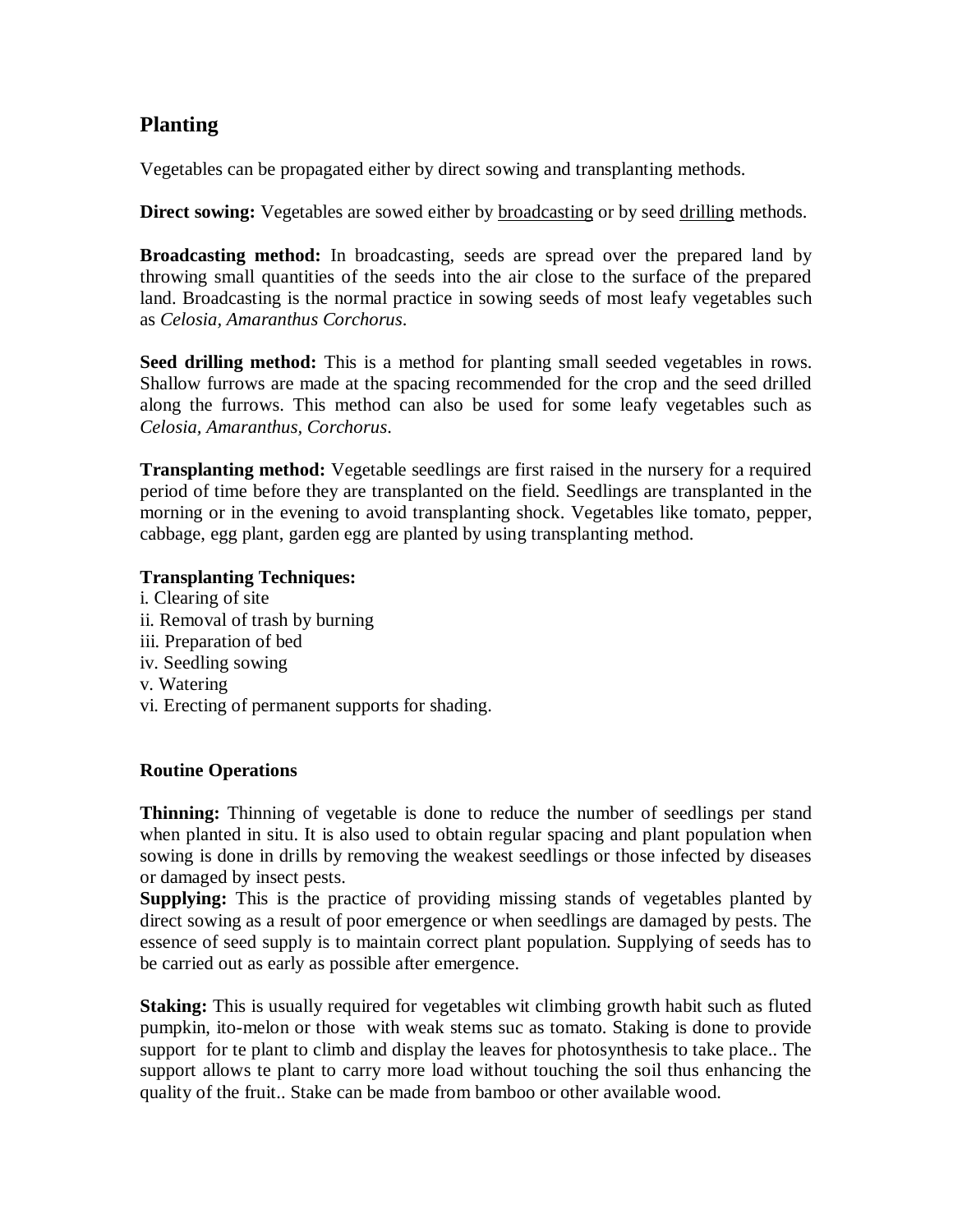## **Planting**

Vegetables can be propagated either by direct sowing and transplanting methods.

**Direct sowing:** Vegetables are sowed either by broadcasting or by seed drilling methods.

**Broadcasting method:** In broadcasting, seeds are spread over the prepared land by throwing small quantities of the seeds into the air close to the surface of the prepared land. Broadcasting is the normal practice in sowing seeds of most leafy vegetables such as *Celosia, Amaranthus Corchorus*.

**Seed drilling method:** This is a method for planting small seeded vegetables in rows. Shallow furrows are made at the spacing recommended for the crop and the seed drilled along the furrows. This method can also be used for some leafy vegetables such as *Celosia, Amaranthus, Corchorus*.

**Transplanting method:** Vegetable seedlings are first raised in the nursery for a required period of time before they are transplanted on the field. Seedlings are transplanted in the morning or in the evening to avoid transplanting shock. Vegetables like tomato, pepper, cabbage, egg plant, garden egg are planted by using transplanting method.

### **Transplanting Techniques:**

i. Clearing of site ii. Removal of trash by burning iii. Preparation of bed iv. Seedling sowing v. Watering vi. Erecting of permanent supports for shading.

## **Routine Operations**

**Thinning:** Thinning of vegetable is done to reduce the number of seedlings per stand when planted in situ. It is also used to obtain regular spacing and plant population when sowing is done in drills by removing the weakest seedlings or those infected by diseases or damaged by insect pests.

**Supplying:** This is the practice of providing missing stands of vegetables planted by direct sowing as a result of poor emergence or when seedlings are damaged by pests. The essence of seed supply is to maintain correct plant population. Supplying of seeds has to be carried out as early as possible after emergence.

**Staking:** This is usually required for vegetables wit climbing growth habit such as fluted pumpkin, ito-melon or those with weak stems suc as tomato. Staking is done to provide support for te plant to climb and display the leaves for photosynthesis to take place.. The support allows te plant to carry more load without touching the soil thus enhancing the quality of the fruit.. Stake can be made from bamboo or other available wood.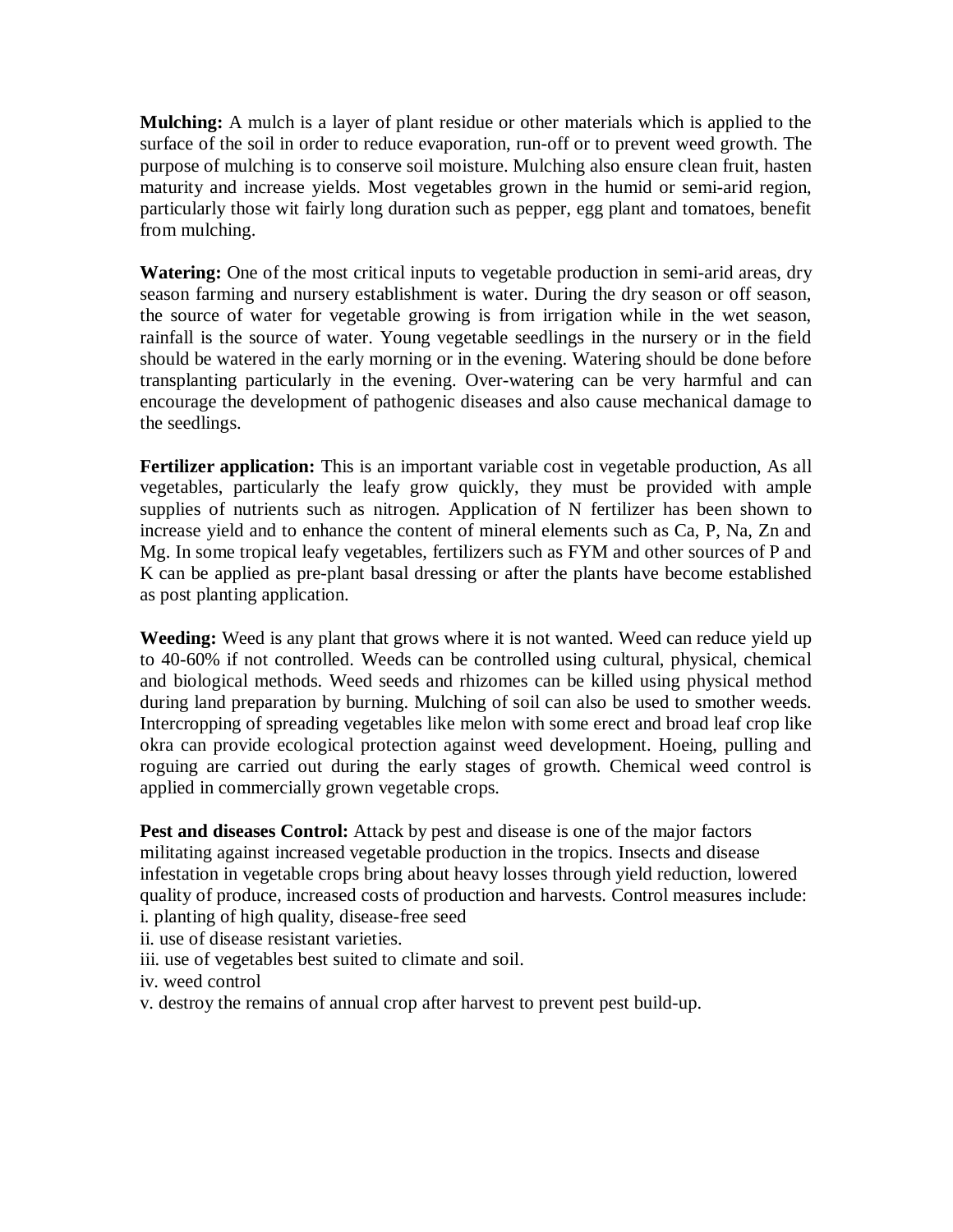**Mulching:** A mulch is a layer of plant residue or other materials which is applied to the surface of the soil in order to reduce evaporation, run-off or to prevent weed growth. The purpose of mulching is to conserve soil moisture. Mulching also ensure clean fruit, hasten maturity and increase yields. Most vegetables grown in the humid or semi-arid region, particularly those wit fairly long duration such as pepper, egg plant and tomatoes, benefit from mulching.

**Watering:** One of the most critical inputs to vegetable production in semi-arid areas, dry season farming and nursery establishment is water. During the dry season or off season, the source of water for vegetable growing is from irrigation while in the wet season, rainfall is the source of water. Young vegetable seedlings in the nursery or in the field should be watered in the early morning or in the evening. Watering should be done before transplanting particularly in the evening. Over-watering can be very harmful and can encourage the development of pathogenic diseases and also cause mechanical damage to the seedlings.

**Fertilizer application:** This is an important variable cost in vegetable production, As all vegetables, particularly the leafy grow quickly, they must be provided with ample supplies of nutrients such as nitrogen. Application of N fertilizer has been shown to increase yield and to enhance the content of mineral elements such as Ca, P, Na, Zn and Mg. In some tropical leafy vegetables, fertilizers such as FYM and other sources of P and K can be applied as pre-plant basal dressing or after the plants have become established as post planting application.

**Weeding:** Weed is any plant that grows where it is not wanted. Weed can reduce yield up to 40-60% if not controlled. Weeds can be controlled using cultural, physical, chemical and biological methods. Weed seeds and rhizomes can be killed using physical method during land preparation by burning. Mulching of soil can also be used to smother weeds. Intercropping of spreading vegetables like melon with some erect and broad leaf crop like okra can provide ecological protection against weed development. Hoeing, pulling and roguing are carried out during the early stages of growth. Chemical weed control is applied in commercially grown vegetable crops.

**Pest and diseases Control:** Attack by pest and disease is one of the major factors militating against increased vegetable production in the tropics. Insects and disease infestation in vegetable crops bring about heavy losses through yield reduction, lowered quality of produce, increased costs of production and harvests. Control measures include: i. planting of high quality, disease-free seed

ii. use of disease resistant varieties.

iii. use of vegetables best suited to climate and soil.

iv. weed control

v. destroy the remains of annual crop after harvest to prevent pest build-up.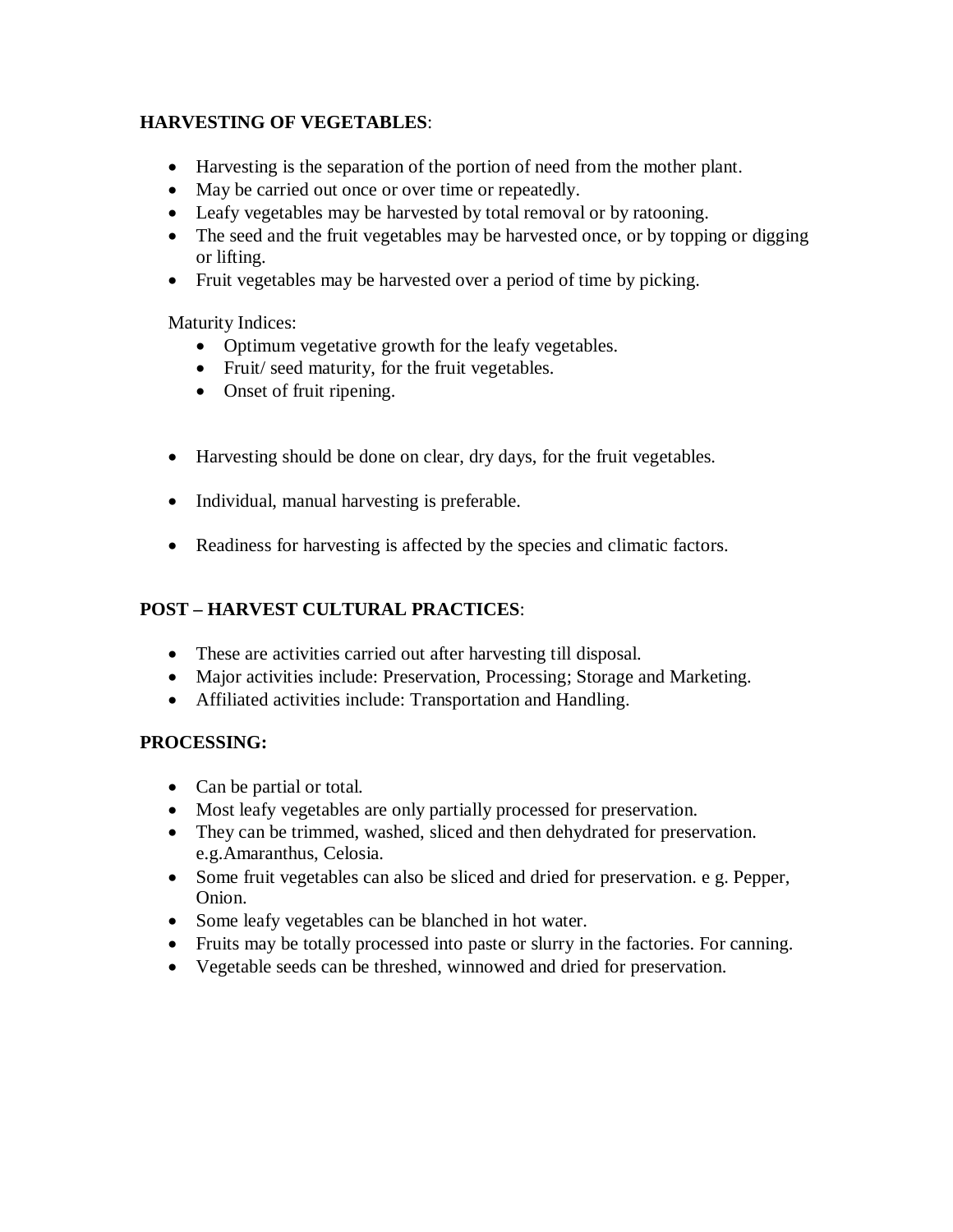### **HARVESTING OF VEGETABLES**:

- Harvesting is the separation of the portion of need from the mother plant.
- May be carried out once or over time or repeatedly.
- Leafy vegetables may be harvested by total removal or by ratooning.
- The seed and the fruit vegetables may be harvested once, or by topping or digging or lifting.
- Fruit vegetables may be harvested over a period of time by picking.

Maturity Indices:

- Optimum vegetative growth for the leafy vegetables.
- Fruit/ seed maturity, for the fruit vegetables.
- Onset of fruit ripening.
- Harvesting should be done on clear, dry days, for the fruit vegetables.
- Individual, manual harvesting is preferable.
- Readiness for harvesting is affected by the species and climatic factors.

## **POST – HARVEST CULTURAL PRACTICES**:

- These are activities carried out after harvesting till disposal.
- Major activities include: Preservation, Processing; Storage and Marketing.
- Affiliated activities include: Transportation and Handling.

### **PROCESSING:**

- Can be partial or total.
- Most leafy vegetables are only partially processed for preservation.
- They can be trimmed, washed, sliced and then dehydrated for preservation. e.g.Amaranthus, Celosia.
- Some fruit vegetables can also be sliced and dried for preservation. e g. Pepper, Onion.
- Some leafy vegetables can be blanched in hot water.
- Fruits may be totally processed into paste or slurry in the factories. For canning.
- Vegetable seeds can be threshed, winnowed and dried for preservation.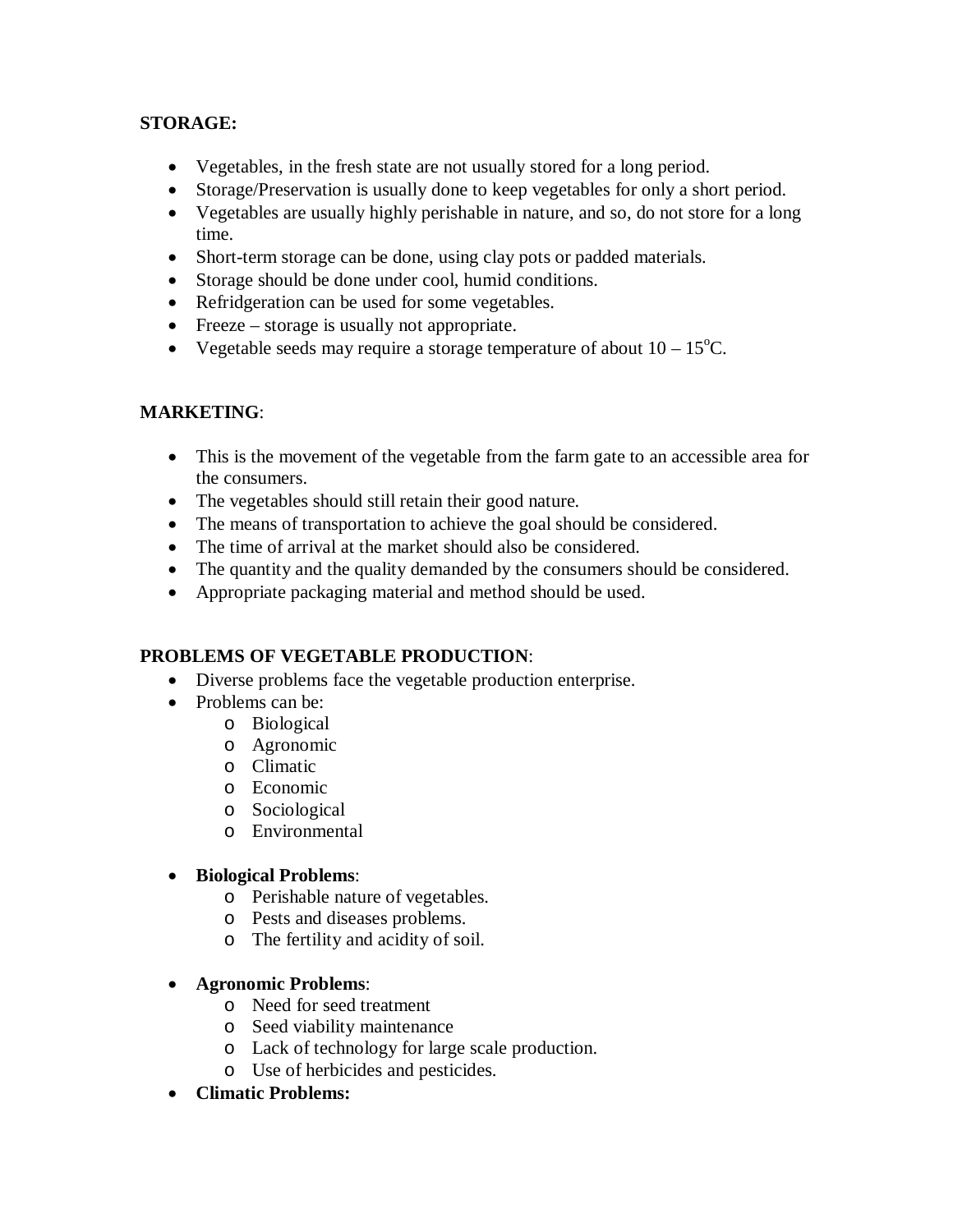### **STORAGE:**

- Vegetables, in the fresh state are not usually stored for a long period.
- Storage/Preservation is usually done to keep vegetables for only a short period.
- Vegetables are usually highly perishable in nature, and so, do not store for a long time.
- Short-term storage can be done, using clay pots or padded materials.
- Storage should be done under cool, humid conditions.
- Refridgeration can be used for some vegetables.
- Freeze storage is usually not appropriate.
- Vegetable seeds may require a storage temperature of about  $10 15^{\circ}$ C.

## **MARKETING**:

- This is the movement of the vegetable from the farm gate to an accessible area for the consumers.
- The vegetables should still retain their good nature.
- The means of transportation to achieve the goal should be considered.
- The time of arrival at the market should also be considered.
- The quantity and the quality demanded by the consumers should be considered.
- Appropriate packaging material and method should be used.

### **PROBLEMS OF VEGETABLE PRODUCTION**:

- Diverse problems face the vegetable production enterprise.
- Problems can be:
	- o Biological
	- o Agronomic
	- o Climatic
	- o Economic
	- o Sociological
	- o Environmental

### **Biological Problems**:

- o Perishable nature of vegetables.
- o Pests and diseases problems.
- o The fertility and acidity of soil.

### **Agronomic Problems**:

- o Need for seed treatment
- o Seed viability maintenance
- o Lack of technology for large scale production.
- o Use of herbicides and pesticides.
- **Climatic Problems:**